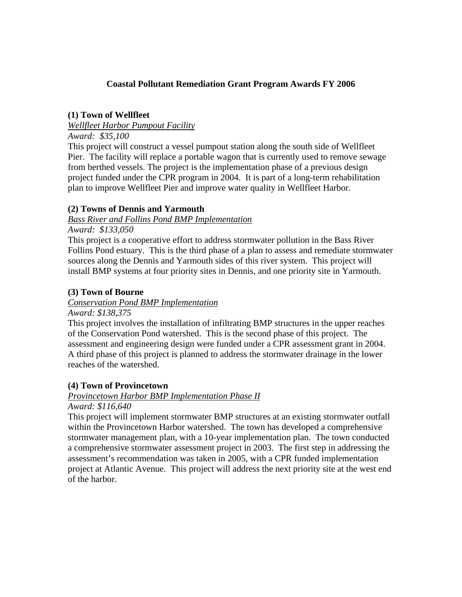### **Coastal Pollutant Remediation Grant Program Awards FY 2006**

### **(1) Town of Wellfleet**

#### *Wellfleet Harbor Pumpout Facility*

#### *Award: \$35,100*

This project will construct a vessel pumpout station along the south side of Wellfleet Pier. The facility will replace a portable wagon that is currently used to remove sewage from berthed vessels. The project is the implementation phase of a previous design project funded under the CPR program in 2004. It is part of a long-term rehabilitation plan to improve Wellfleet Pier and improve water quality in Wellfleet Harbor.

### **(2) Towns of Dennis and Yarmouth**

# *Bass River and Follins Pond BMP Implementation*

*Award: \$133,050* 

This project is a cooperative effort to address stormwater pollution in the Bass River Follins Pond estuary. This is the third phase of a plan to assess and remediate stormwater sources along the Dennis and Yarmouth sides of this river system. This project will install BMP systems at four priority sites in Dennis, and one priority site in Yarmouth.

#### **(3) Town of Bourne**

#### *Conservation Pond BMP Implementation*

#### *Award: \$138,375*

This project involves the installation of infiltrating BMP structures in the upper reaches of the Conservation Pond watershed. This is the second phase of this project. The assessment and engineering design were funded under a CPR assessment grant in 2004. A third phase of this project is planned to address the stormwater drainage in the lower reaches of the watershed.

### **(4) Town of Provincetown**

#### *Provincetown Harbor BMP Implementation Phase II*

*Award: \$116,640* 

This project will implement stormwater BMP structures at an existing stormwater outfall within the Provincetown Harbor watershed. The town has developed a comprehensive stormwater management plan, with a 10-year implementation plan. The town conducted a comprehensive stormwater assessment project in 2003. The first step in addressing the assessment's recommendation was taken in 2005, with a CPR funded implementation project at Atlantic Avenue. This project will address the next priority site at the west end of the harbor.